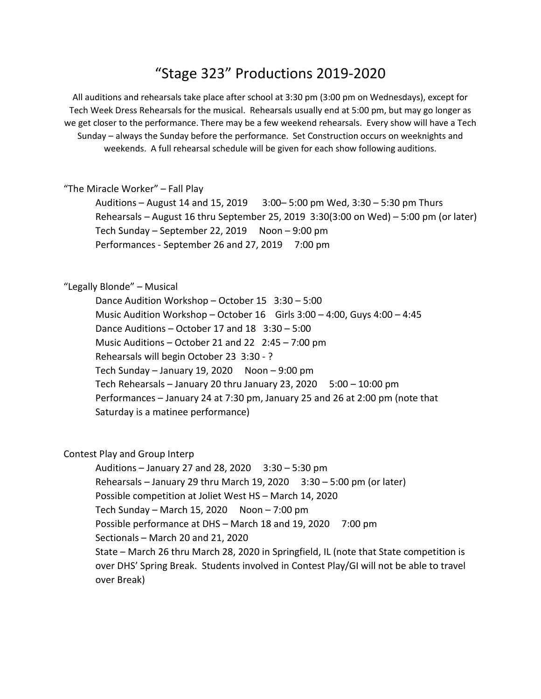## "Stage 323" Productions 2019-2020

All auditions and rehearsals take place after school at 3:30 pm (3:00 pm on Wednesdays), except for Tech Week Dress Rehearsals for the musical. Rehearsals usually end at 5:00 pm, but may go longer as we get closer to the performance. There may be a few weekend rehearsals. Every show will have a Tech Sunday – always the Sunday before the performance. Set Construction occurs on weeknights and weekends. A full rehearsal schedule will be given for each show following auditions.

"The Miracle Worker" – Fall Play

Auditions – August 14 and 15, 2019 3:00– 5:00 pm Wed, 3:30 – 5:30 pm Thurs Rehearsals – August 16 thru September 25, 2019 3:30(3:00 on Wed) – 5:00 pm (or later) Tech Sunday – September 22, 2019 Noon –  $9:00$  pm Performances - September 26 and 27, 2019 7:00 pm

"Legally Blonde" – Musical

Dance Audition Workshop – October 15 3:30 – 5:00 Music Audition Workshop – October 16 Girls 3:00 – 4:00, Guys 4:00 – 4:45 Dance Auditions – October 17 and 18 3:30 – 5:00 Music Auditions – October 21 and 22 2:45 – 7:00 pm Rehearsals will begin October 23 3:30 - ? Tech Sunday – January 19, 2020 Noon – 9:00 pm Tech Rehearsals – January 20 thru January 23, 2020  $5:00 - 10:00$  pm Performances – January 24 at 7:30 pm, January 25 and 26 at 2:00 pm (note that Saturday is a matinee performance)

## Contest Play and Group Interp

Auditions – January 27 and 28, 2020  $3:30 - 5:30$  pm Rehearsals – January 29 thru March 19, 2020  $3:30 - 5:00$  pm (or later) Possible competition at Joliet West HS – March 14, 2020 Tech Sunday – March 15, 2020 Noon – 7:00 pm Possible performance at DHS – March 18 and 19, 2020 7:00 pm Sectionals – March 20 and 21, 2020 State – March 26 thru March 28, 2020 in Springfield, IL (note that State competition is over DHS' Spring Break. Students involved in Contest Play/GI will not be able to travel over Break)